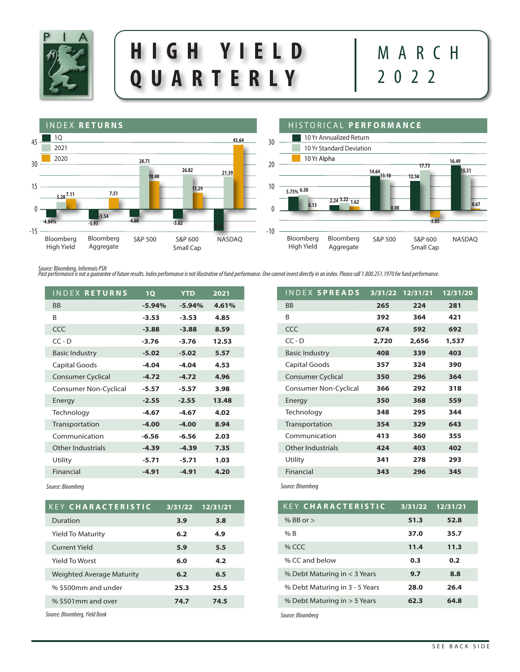

## **HIGH YIELD QUARTERLY**

## MARCH 2022





Source: Bloomberg, Informais PSN<br>Past performance is not a guarantee of future results. Index performance is not illustrative of fund performance. One cannot invest directly in an index. Please call 1.800.251.1970 for fund

| <b>INDEX RETURNS</b>         | 10       | <b>YTD</b> | 2021  |
|------------------------------|----------|------------|-------|
| <b>BB</b>                    | $-5.94%$ | $-5.94%$   | 4.61% |
| B                            | $-3.53$  | $-3.53$    | 4.85  |
| CCC                          | $-3.88$  | $-3.88$    | 8.59  |
| $CC - D$                     | $-3.76$  | $-3.76$    | 12.53 |
| <b>Basic Industry</b>        | $-5.02$  | $-5.02$    | 5.57  |
| Capital Goods                | $-4.04$  | $-4.04$    | 4.53  |
| <b>Consumer Cyclical</b>     | $-4.72$  | $-4.72$    | 4.96  |
| <b>Consumer Non-Cyclical</b> | $-5.57$  | $-5.57$    | 3.98  |
| Energy                       | $-2.55$  | $-2.55$    | 13.48 |
| Technology                   | $-4.67$  | $-4.67$    | 4.02  |
| Transportation               | $-4.00$  | $-4.00$    | 8.94  |
| Communication                | $-6.56$  | $-6.56$    | 2.03  |
| <b>Other Industrials</b>     | $-4.39$  | $-4.39$    | 7.35  |
| Utility                      | $-5.71$  | $-5.71$    | 1.03  |
| Financial                    | $-4.91$  | $-4.91$    | 4.20  |
|                              |          |            |       |

*Source: Bloomberg*

| <b>KEY CHARACTERISTIC</b> | 3/31/22 | 12/31/21 |
|---------------------------|---------|----------|
| Duration                  | 3.9     | 3.8      |
| <b>Yield To Maturity</b>  | 6.2     | 4.9      |
| Current Yield             | 5.9     | 5.5      |
| Yield To Worst            | 6.0     | 4.2      |
| Weighted Average Maturity | 6.2     | 6.5      |
| % \$500mm and under       | 25.3    | 25.5     |
| % \$501mm and over        | 74.7    | 74.5     |
|                           |         |          |

*Source: Bloomberg, Yield Book*

| <b>INDEX SPREADS</b>  |       | 3/31/22 12/31/21 | 12/31/20 |
|-----------------------|-------|------------------|----------|
| BB                    | 265   | 224              | 281      |
| B                     | 392   | 364              | 421      |
| CCC                   | 674   | 592              | 692      |
| $CC - D$              | 2,720 | 2,656            | 1,537    |
| <b>Basic Industry</b> | 408   | 339              | 403      |
| Capital Goods         | 357   | 324              | 390      |
| Consumer Cyclical     | 350   | 296              | 364      |
| Consumer Non-Cyclical | 366   | 292              | 318      |
| Energy                | 350   | 368              | 559      |
| Technology            | 348   | 295              | 344      |
| Transportation        | 354   | 329              | 643      |
| Communication         | 413   | 360              | 355      |
| Other Industrials     | 424   | 403              | 402      |
| Utility               | 341   | 278              | 293      |
| Financial             | 343   | 296              | 345      |

*Source: Bloomberg*

| <b>KEY CHARACTERISTIC</b>      | 3/31/22 | 12/31/21 |
|--------------------------------|---------|----------|
| % BB or $>$                    | 51.3    | 52.8     |
| % B                            | 37.0    | 35.7     |
| % CCC                          | 11.4    | 11.3     |
| % CC and below                 | 0.3     | 0.2      |
| % Debt Maturing in $<$ 3 Years | 9.7     | 8.8      |
| % Debt Maturing in 3 - 5 Years | 28.0    | 26.4     |
| % Debt Maturing in > 5 Years   | 62.3    | 64.8     |
| $\sim$ $\sim$ $\sim$ $\sim$    |         |          |

*Source: Bloomberg*